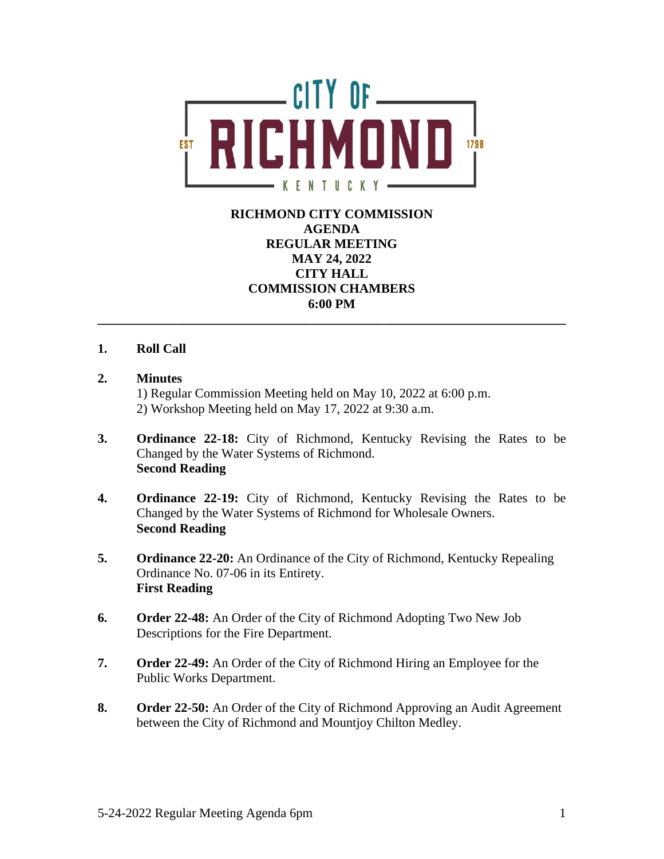

## **RICHMOND CITY COMMISSION AGENDA REGULAR MEETING MAY 24, 2022 CITY HALL COMMISSION CHAMBERS 6:00 PM \_\_\_\_\_\_\_\_\_\_\_\_\_\_\_\_\_\_\_\_\_\_\_\_\_\_\_\_\_\_\_\_\_\_\_\_\_\_\_\_\_\_\_\_\_\_\_\_\_\_\_\_\_\_\_\_\_\_\_\_\_\_\_\_\_\_\_\_\_\_\_\_**

## **1. Roll Call**

### **2. Minutes**

1) Regular Commission Meeting held on May 10, 2022 at 6:00 p.m. 2) Workshop Meeting held on May 17, 2022 at 9:30 a.m.

- **3. Ordinance 22-18:** City of Richmond, Kentucky Revising the Rates to be Changed by the Water Systems of Richmond. **Second Reading**
- **4. Ordinance 22-19:** City of Richmond, Kentucky Revising the Rates to be Changed by the Water Systems of Richmond for Wholesale Owners. **Second Reading**
- **5. Ordinance 22-20:** An Ordinance of the City of Richmond, Kentucky Repealing Ordinance No. 07-06 in its Entirety. **First Reading**
- **6. Order 22-48:** An Order of the City of Richmond Adopting Two New Job Descriptions for the Fire Department.
- **7. Order 22-49:** An Order of the City of Richmond Hiring an Employee for the Public Works Department.
- **8. Order 22-50:** An Order of the City of Richmond Approving an Audit Agreement between the City of Richmond and Mountjoy Chilton Medley.